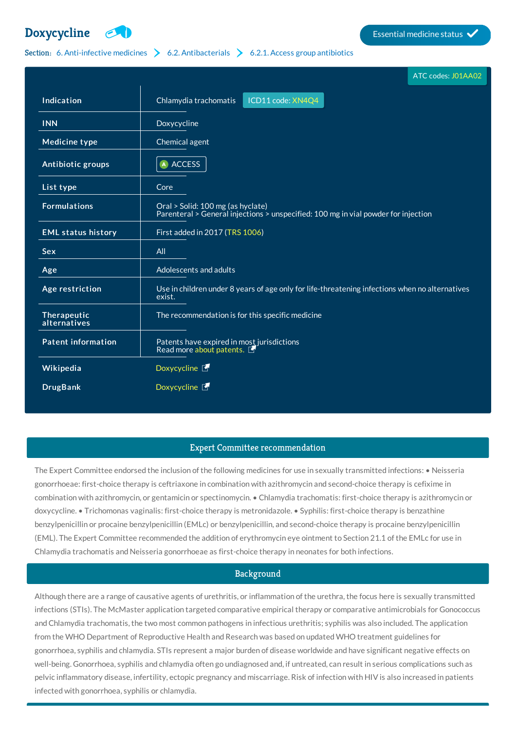# **[Doxycycline](http://list.essentialmeds.org/medicines/318) Example 200**



#### Section: 6. [Anti-infective](http://list.essentialmeds.org/?section=332) medicines  $\geq 6.2$ . [Antibacterials](http://list.essentialmeds.org/?section=337)  $\geq 6.2.1$ . Access group [antibiotics](http://list.essentialmeds.org/?section=338)

|                             | ATC codes: J01AA02                                                                                                      |
|-----------------------------|-------------------------------------------------------------------------------------------------------------------------|
| Indication                  | Chlamydia trachomatis<br>ICD11 code: XN4Q4                                                                              |
| <b>INN</b>                  | Doxycycline                                                                                                             |
| <b>Medicine type</b>        | Chemical agent                                                                                                          |
| Antibiotic groups           | A ACCESS                                                                                                                |
| List type                   | Core                                                                                                                    |
| <b>Formulations</b>         | Oral > Solid: 100 mg (as hyclate)<br>Parenteral > General injections > unspecified: 100 mg in vial powder for injection |
| <b>EML status history</b>   | First added in 2017 (TRS 1006)                                                                                          |
| <b>Sex</b>                  | All                                                                                                                     |
| Age                         | Adolescents and adults                                                                                                  |
| Age restriction             | Use in children under 8 years of age only for life-threatening infections when no alternatives<br>exist.                |
| Therapeutic<br>alternatives | The recommendation is for this specific medicine                                                                        |
| <b>Patent information</b>   | Patents have expired in most jurisdictions<br>Read more about patents.                                                  |
| Wikipedia                   | Doxycycline <b>F</b>                                                                                                    |
| <b>DrugBank</b>             | Doxycycline <b>F</b>                                                                                                    |

#### Expert Committee recommendation

The Expert Committee endorsed the inclusion of the following medicines for use in sexually transmitted infections: • Neisseria gonorrhoeae: first-choice therapy is ceftriaxone in combination with azithromycin and second-choice therapy is cefixime in combination with azithromycin, or gentamicin or spectinomycin. • Chlamydia trachomatis: first-choice therapy is azithromycin or doxycycline. • Trichomonas vaginalis: first-choice therapy is metronidazole. • Syphilis: first-choice therapy is benzathine benzylpenicillin or procaine benzylpenicillin (EMLc) or benzylpenicillin, and second-choice therapy is procaine benzylpenicillin (EML). The Expert Committee recommended the addition of erythromycin eye ointment to Section 21.1 of the EMLc for use in Chlamydia trachomatis and Neisseria gonorrhoeae as first-choice therapy in neonates for both infections.

## Background

Although there are a range of causative agents of urethritis, or inflammation of the urethra, the focus here is sexually transmitted infections (STIs). The McMaster application targeted comparative empirical therapy or comparative antimicrobials for Gonococcus and Chlamydia trachomatis, the two most common pathogens in infectious urethritis; syphilis was also included. The application from the WHO Department of Reproductive Health and Research was based on updated WHO treatment guidelines for gonorrhoea, syphilis and chlamydia. STIs represent a major burden of disease worldwide and have significant negative effects on well-being. Gonorrhoea, syphilis and chlamydia often go undiagnosed and, if untreated, can result in serious complications such as pelvic inflammatory disease, infertility, ectopic pregnancy and miscarriage. Risk of infection with HIV is also increased in patients infected with gonorrhoea, syphilis or chlamydia.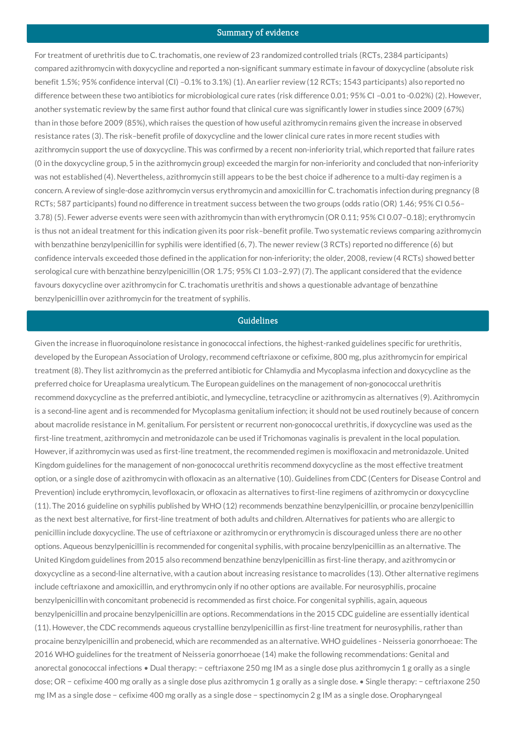### Summary of evidence

For treatment of urethritis due to C. trachomatis, one review of 23 randomized controlled trials (RCTs, 2384 participants) compared azithromycin with doxycycline and reported a non-significant summary estimate in favour of doxycycline (absolute risk benefit 1.5%; 95% confidence interval (CI) –0.1% to 3.1%) (1). An earlier review (12 RCTs; 1543 participants) also reported no difference between these two antibiotics for microbiological cure rates (risk difference 0.01; 95% CI-0.01 to -0.02%) (2). However, another systematic review by the same first author found that clinical cure was significantly lower in studies since 2009 (67%) than in those before 2009 (85%), which raises the question of how useful azithromycin remains given the increase in observed resistance rates (3). The risk–benefit profile of doxycycline and the lower clinical cure rates in more recent studies with azithromycin support the use of doxycycline. This was confirmed by a recent non-inferiority trial, which reported that failure rates (0 in the doxycycline group, 5 in the azithromycin group) exceeded the margin for non-inferiority and concluded that non-inferiority was not established (4). Nevertheless, azithromycin still appears to be the best choice if adherence to a multi-day regimen is a concern. A review of single-dose azithromycin versus erythromycin and amoxicillin for C. trachomatis infection during pregnancy (8 RCTs; 587 participants) found no difference in treatment success between the two groups (odds ratio (OR) 1.46; 95% CI 0.56– 3.78) (5). Fewer adverse events were seen with azithromycin than with erythromycin (OR 0.11; 95% CI 0.07–0.18); erythromycin is thus not an ideal treatment for this indication given its poor risk–benefit profile. Two systematic reviews comparing azithromycin with benzathine benzylpenicillin for syphilis were identified (6, 7). The newer review (3 RCTs) reported no difference (6) but confidence intervals exceeded those defined in the application for non-inferiority; the older, 2008, review (4 RCTs) showed better serological cure with benzathine benzylpenicillin (OR 1.75; 95% CI 1.03–2.97) (7). The applicant considered that the evidence favours doxycycline over azithromycin for C. trachomatis urethritis and shows a questionable advantage of benzathine benzylpenicillin over azithromycin for the treatment of syphilis.

## Guidelines

Given the increase in fluoroquinolone resistance in gonococcal infections, the highest-ranked guidelines specific for urethritis, developed by the European Association of Urology, recommend ceftriaxone or cefixime, 800 mg, plus azithromycin for empirical treatment (8). They list azithromycin as the preferred antibiotic for Chlamydia and Mycoplasma infection and doxycycline as the preferred choice for Ureaplasma urealyticum. The European guidelines on the management of non-gonococcal urethritis recommend doxycycline as the preferred antibiotic, and lymecycline, tetracycline or azithromycin as alternatives (9). Azithromycin is a second-line agent and is recommended for Mycoplasma genitalium infection; it should not be used routinely because of concern about macrolide resistance in M. genitalium. For persistent or recurrent non-gonococcal urethritis, if doxycycline was used as the first-line treatment, azithromycin and metronidazole can be used if Trichomonas vaginalis is prevalent in the local population. However, if azithromycin was used as first-line treatment, the recommended regimen is moxifloxacin and metronidazole. United Kingdom guidelines for the management of non-gonococcal urethritis recommend doxycycline as the most effective treatment option, or a single dose of azithromycin with ofloxacin as an alternative (10). Guidelines from CDC (Centers for Disease Control and Prevention) include erythromycin, levofloxacin, or ofloxacin as alternatives to first-line regimens of azithromycin or doxycycline (11). The 2016 guideline on syphilis published by WHO (12) recommends benzathine benzylpenicillin, or procaine benzylpenicillin as the next best alternative, for first-line treatment of both adults and children. Alternatives for patients who are allergic to penicillin include doxycycline. The use of ceftriaxone or azithromycin or erythromycin is discouraged unless there are no other options. Aqueous benzylpenicillin is recommended for congenital syphilis, with procaine benzylpenicillin as an alternative. The United Kingdom guidelines from 2015 also recommend benzathine benzylpenicillin as first-line therapy, and azithromycin or doxycycline as a second-line alternative, with a caution about increasing resistance to macrolides (13). Other alternative regimens include ceftriaxone and amoxicillin, and erythromycin only if no other options are available. For neurosyphilis, procaine benzylpenicillin with concomitant probenecid is recommended as first choice. For congenital syphilis, again, aqueous benzylpenicillin and procaine benzylpenicillin are options. Recommendations in the 2015 CDC guideline are essentially identical (11). However, the CDC recommends aqueous crystalline benzylpenicillin as first-line treatment for neurosyphilis, rather than procaine benzylpenicillin and probenecid, which are recommended as an alternative. WHO guidelines - Neisseria gonorrhoeae: The 2016 WHO guidelines for the treatment of Neisseria gonorrhoeae (14) make the following recommendations: Genital and anorectal gonococcal infections • Dual therapy: − ceftriaxone 250 mg IM as a single dose plus azithromycin 1 g orally as a single dose; OR − cefixime 400 mg orally as a single dose plus azithromycin 1 g orally as a single dose. • Single therapy: − ceftriaxone 250 mg IM as a single dose − cefixime 400 mg orally as a single dose − spectinomycin 2 g IM as a single dose. Oropharyngeal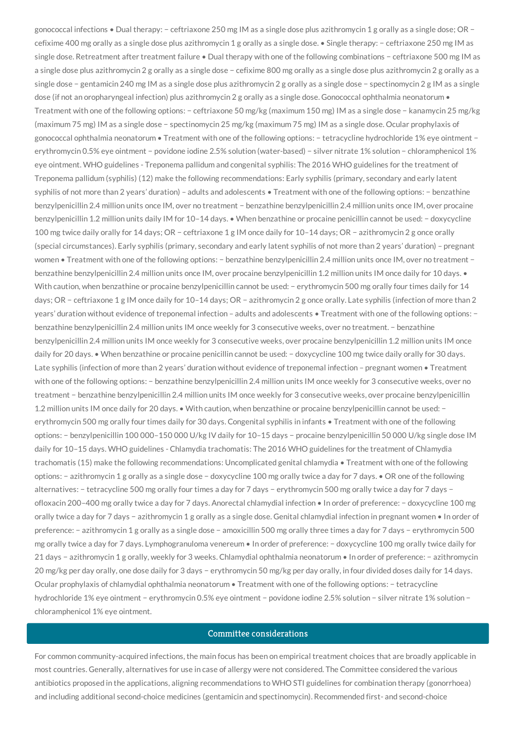gonococcal infections • Dual therapy: − ceftriaxone 250 mg IM as a single dose plus azithromycin 1 g orally as a single dose; OR − cefixime 400 mg orally as a single dose plus azithromycin 1 g orally as a single dose. • Single therapy: − ceftriaxone 250 mg IM as single dose. Retreatment after treatment failure • Dual therapy with one of the following combinations − ceftriaxone 500 mg IM as a single dose plus azithromycin 2 g orally as a single dose − cefixime 800 mg orally as a single dose plus azithromycin 2 g orally as a single dose − gentamicin 240 mg IM as a single dose plus azithromycin 2 g orally as a single dose − spectinomycin 2 g IM as a single dose (if not an oropharyngeal infection) plus azithromycin 2 g orally as a single dose. Gonococcal ophthalmia neonatorum • Treatment with one of the following options: − ceftriaxone 50 mg/kg (maximum 150 mg) IM as a single dose − kanamycin 25 mg/kg (maximum 75 mg) IM as a single dose − spectinomycin 25 mg/kg (maximum 75 mg) IM as a single dose. Ocular prophylaxis of gonococcal ophthalmia neonatorum • Treatment with one of the following options: − tetracycline hydrochloride 1% eye ointment − erythromycin 0.5% eye ointment − povidone iodine 2.5% solution (water-based) − silver nitrate 1% solution − chloramphenicol 1% eye ointment. WHO guidelines - Treponema pallidum and congenital syphilis: The 2016 WHO guidelines for the treatment of Treponema pallidum (syphilis) (12) make the following recommendations: Early syphilis (primary, secondary and early latent syphilis of not more than 2 years' duration) – adults and adolescents • Treatment with one of the following options: − benzathine benzylpenicillin 2.4 million units once IM, over no treatment − benzathine benzylpenicillin 2.4 million units once IM, over procaine benzylpenicillin 1.2 million units daily IM for 10–14 days. • When benzathine or procaine penicillin cannot be used: − doxycycline 100 mg twice daily orally for 14 days; OR − ceftriaxone 1 g IM once daily for 10–14 days; OR − azithromycin 2 g once orally (special circumstances). Early syphilis (primary, secondary and early latent syphilis of not more than 2 years' duration) – pregnant women • Treatment with one of the following options: − benzathine benzylpenicillin 2.4 million units once IM, over no treatment − benzathine benzylpenicillin 2.4 million units once IM, over procaine benzylpenicillin 1.2 million units IM once daily for 10 days. • With caution, when benzathine or procaine benzylpenicillin cannot be used: − erythromycin 500 mg orally four times daily for 14 days; OR − ceftriaxone 1 g IM once daily for 10–14 days; OR − azithromycin 2 g once orally. Late syphilis (infection of more than 2 years' duration without evidence of treponemal infection – adults and adolescents • Treatment with one of the following options: − benzathine benzylpenicillin 2.4 million units IM once weekly for 3 consecutive weeks, over no treatment. − benzathine benzylpenicillin 2.4 million units IM once weekly for 3 consecutive weeks, over procaine benzylpenicillin 1.2 million units IM once daily for 20 days. • When benzathine or procaine penicillin cannot be used: − doxycycline 100 mg twice daily orally for 30 days. Late syphilis (infection of more than 2 years' duration without evidence of treponemal infection – pregnant women • Treatment with one of the following options: − benzathine benzylpenicillin 2.4 million units IM once weekly for 3 consecutive weeks, over no treatment − benzathine benzylpenicillin 2.4 million units IM once weekly for 3 consecutive weeks, over procaine benzylpenicillin 1.2 million units IM once daily for 20 days. • With caution, when benzathine or procaine benzylpenicillin cannot be used: − erythromycin 500 mg orally four times daily for 30 days. Congenital syphilis in infants • Treatment with one of the following options: − benzylpenicillin 100 000–150 000 U/kg IV daily for 10–15 days − procaine benzylpenicillin 50 000 U/kg single dose IM daily for 10–15 days. WHO guidelines - Chlamydia trachomatis: The 2016 WHO guidelines for the treatment of Chlamydia trachomatis (15) make the following recommendations: Uncomplicated genital chlamydia • Treatment with one of the following options: − azithromycin 1 g orally as a single dose − doxycycline 100 mg orally twice a day for 7 days. • OR one of the following alternatives: − tetracycline 500 mg orally four times a day for 7 days − erythromycin 500 mg orally twice a day for 7 days − ofloxacin 200–400 mg orally twice a day for 7 days. Anorectal chlamydial infection • In order of preference: − doxycycline 100 mg orally twice a day for 7 days − azithromycin 1 g orally as a single dose. Genital chlamydial infection in pregnant women • In order of preference: − azithromycin 1 g orally as a single dose − amoxicillin 500 mg orally three times a day for 7 days − erythromycin 500 mg orally twice a day for 7 days. Lymphogranuloma venereum • In order of preference: − doxycycline 100 mg orally twice daily for 21 days − azithromycin 1 g orally, weekly for 3 weeks. Chlamydial ophthalmia neonatorum • In order of preference: − azithromycin 20 mg/kg per day orally, one dose daily for 3 days − erythromycin 50 mg/kg per day orally, in four divided doses daily for 14 days. Ocular prophylaxis of chlamydial ophthalmia neonatorum • Treatment with one of the following options: − tetracycline hydrochloride 1% eye ointment − erythromycin 0.5% eye ointment − povidone iodine 2.5% solution − silver nitrate 1% solution − chloramphenicol 1% eye ointment.

#### Committee considerations

For common community-acquired infections, the main focus has been on empirical treatment choices that are broadly applicable in most countries. Generally, alternatives for use in case of allergy were not considered. The Committee considered the various antibiotics proposed in the applications, aligning recommendations to WHO STI guidelines for combination therapy (gonorrhoea) and including additional second-choice medicines (gentamicin and spectinomycin). Recommended first- and second-choice